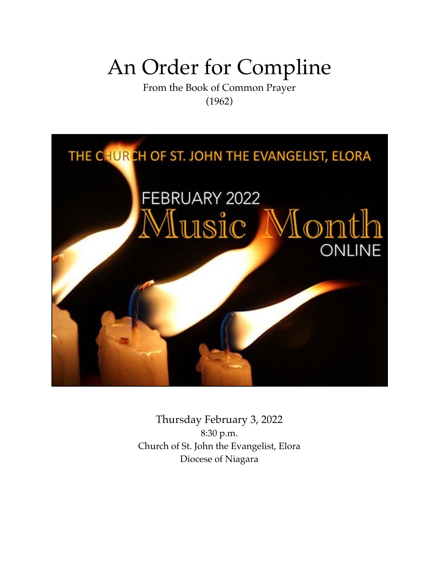# An Order for Compline

From the Book of Common Prayer (1962)



Thursday February 3, 2022 8:30 p.m. Church of St. John the Evangelist, Elora Diocese of Niagara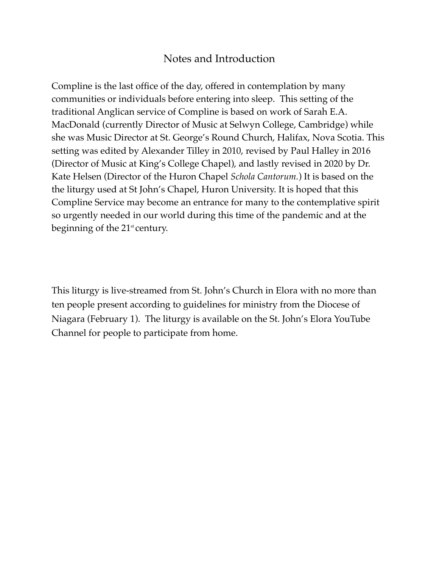# Notes and Introduction

Compline is the last office of the day, offered in contemplation by many communities or individuals before entering into sleep. This setting of the traditional Anglican service of Compline is based on work of Sarah E.A. MacDonald (currently Director of Music at Selwyn College, Cambridge) while she was Music Director at St. George's Round Church, Halifax, Nova Scotia. This setting was edited by Alexander Tilley in 2010, revised by Paul Halley in 2016 (Director of Music at King's College Chapel), and lastly revised in 2020 by Dr. Kate Helsen (Director of the Huron Chapel *Schola Cantorum.*) It is based on the the liturgy used at St John's Chapel, Huron University. It is hoped that this Compline Service may become an entrance for many to the contemplative spirit so urgently needed in our world during this time of the pandemic and at the beginning of the  $21^{\text{st}}$  century.

This liturgy is live-streamed from St. John's Church in Elora with no more than ten people present according to guidelines for ministry from the Diocese of Niagara (February 1). The liturgy is available on the St. John's Elora YouTube Channel for people to participate from home.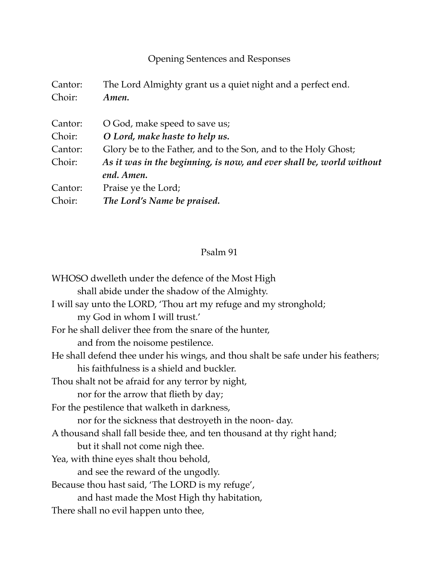# Opening Sentences and Responses

| Cantor: | The Lord Almighty grant us a quiet night and a perfect end.                        |
|---------|------------------------------------------------------------------------------------|
| Choir:  | Amen.                                                                              |
| Cantor: | O God, make speed to save us;                                                      |
| Choir:  | O Lord, make haste to help us.                                                     |
| Cantor: | Glory be to the Father, and to the Son, and to the Holy Ghost;                     |
| Choir:  | As it was in the beginning, is now, and ever shall be, world without<br>end. Amen. |
| Cantor: | Praise ye the Lord;                                                                |
| Choir:  | The Lord's Name be praised.                                                        |

# Psalm 91

WHOSO dwelleth under the defence of the Most High shall abide under the shadow of the Almighty. I will say unto the LORD, 'Thou art my refuge and my stronghold; my God in whom I will trust.' For he shall deliver thee from the snare of the hunter, and from the noisome pestilence. He shall defend thee under his wings, and thou shalt be safe under his feathers; his faithfulness is a shield and buckler. Thou shalt not be afraid for any terror by night, nor for the arrow that flieth by day; For the pestilence that walketh in darkness, nor for the sickness that destroyeth in the noon- day. A thousand shall fall beside thee, and ten thousand at thy right hand; but it shall not come nigh thee. Yea, with thine eyes shalt thou behold, and see the reward of the ungodly. Because thou hast said, 'The LORD is my refuge', and hast made the Most High thy habitation, There shall no evil happen unto thee,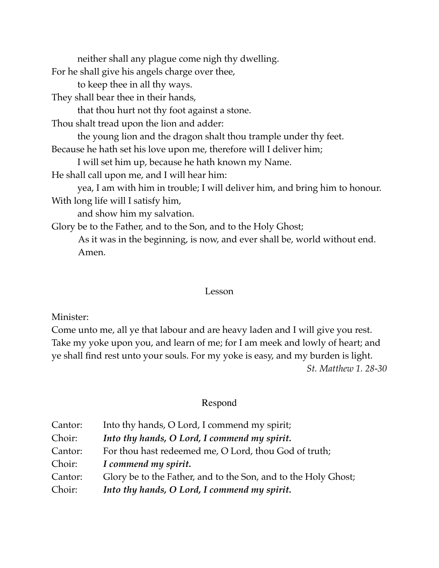neither shall any plague come nigh thy dwelling. For he shall give his angels charge over thee, to keep thee in all thy ways. They shall bear thee in their hands, that thou hurt not thy foot against a stone. Thou shalt tread upon the lion and adder: the young lion and the dragon shalt thou trample under thy feet. Because he hath set his love upon me, therefore will I deliver him; I will set him up, because he hath known my Name. He shall call upon me, and I will hear him: yea, I am with him in trouble; I will deliver him, and bring him to honour. With long life will I satisfy him, and show him my salvation. Glory be to the Father, and to the Son, and to the Holy Ghost; As it was in the beginning, is now, and ever shall be, world without end. Amen.

#### Lesson

Minister:

Come unto me, all ye that labour and are heavy laden and I will give you rest. Take my yoke upon you, and learn of me; for I am meek and lowly of heart; and ye shall find rest unto your souls. For my yoke is easy, and my burden is light. *St. Matthew 1. 28-30* 

# Respond

| Cantor: | Into thy hands, O Lord, I commend my spirit;                   |
|---------|----------------------------------------------------------------|
| Choir:  | Into thy hands, O Lord, I commend my spirit.                   |
| Cantor: | For thou hast redeemed me, O Lord, thou God of truth;          |
| Choir:  | I commend my spirit.                                           |
| Cantor: | Glory be to the Father, and to the Son, and to the Holy Ghost; |
| Choir:  | Into thy hands, O Lord, I commend my spirit.                   |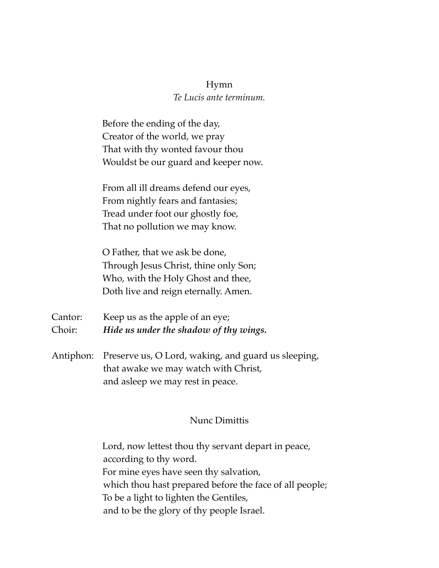#### Hymn

#### *Te Lucis ante terminum.*

Before the ending of the day, Creator of the world, we pray That with thy wonted favour thou Wouldst be our guard and keeper now.

From all ill dreams defend our eyes, From nightly fears and fantasies; Tread under foot our ghostly foe, That no pollution we may know.

O Father, that we ask be done, Through Jesus Christ, thine only Son; Who, with the Holy Ghost and thee, Doth live and reign eternally. Amen.

Cantor: Keep us as the apple of an eye; Choir: *Hide us under the shadow of thy wings.*

Antiphon: Preserve us, O Lord, waking, and guard us sleeping, that awake we may watch with Christ, and asleep we may rest in peace.

## Nunc Dimittis

Lord, now lettest thou thy servant depart in peace, according to thy word. For mine eyes have seen thy salvation, which thou hast prepared before the face of all people; To be a light to lighten the Gentiles, and to be the glory of thy people Israel.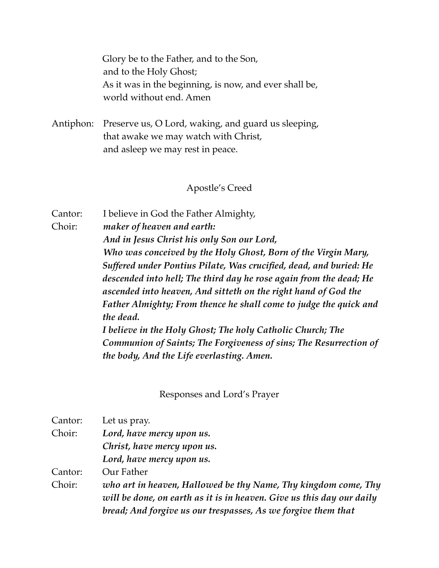Glory be to the Father, and to the Son, and to the Holy Ghost; As it was in the beginning, is now, and ever shall be, world without end. Amen

Antiphon: Preserve us, O Lord, waking, and guard us sleeping, that awake we may watch with Christ, and asleep we may rest in peace.

#### Apostle's Creed

Cantor: I believe in God the Father Almighty, Choir: *maker of heaven and earth: And in Jesus Christ his only Son our Lord, Who was conceived by the Holy Ghost, Born of the Virgin Mary, Suffered under Pontius Pilate, Was crucified, dead, and buried: He descended into hell; The third day he rose again from the dead; He ascended into heaven, And sitteth on the right hand of God the Father Almighty; From thence he shall come to judge the quick and the dead. I believe in the Holy Ghost; The holy Catholic Church; The Communion of Saints; The Forgiveness of sins; The Resurrection of the body, And the Life everlasting. Amen.*

Responses and Lord's Prayer

| Cantor: | Let us pray.                                                                                                                                                                                             |
|---------|----------------------------------------------------------------------------------------------------------------------------------------------------------------------------------------------------------|
| Choir:  | Lord, have mercy upon us.                                                                                                                                                                                |
|         | Christ, have mercy upon us.                                                                                                                                                                              |
|         | Lord, have mercy upon us.                                                                                                                                                                                |
| Cantor: | Our Father                                                                                                                                                                                               |
| Choir:  | who art in heaven, Hallowed be thy Name, Thy kingdom come, Thy<br>will be done, on earth as it is in heaven. Give us this day our daily<br>bread; And forgive us our trespasses, As we forgive them that |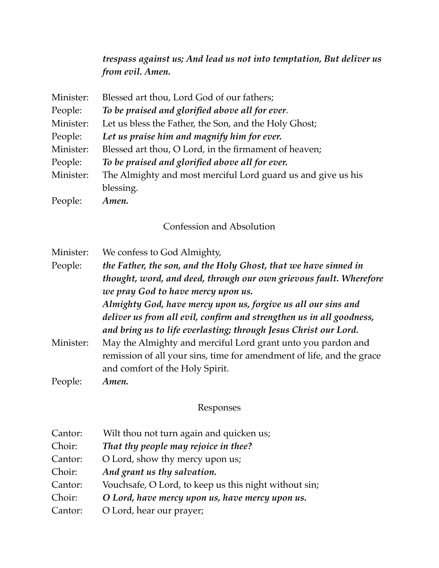*trespass against us; And lead us not into temptation, But deliver us from evil. Amen.*

| Minister: | Blessed art thou, Lord God of our fathers;                   |
|-----------|--------------------------------------------------------------|
| People:   | To be praised and glorified above all for ever.              |
| Minister: | Let us bless the Father, the Son, and the Holy Ghost;        |
| People:   | Let us praise him and magnify him for ever.                  |
| Minister: | Blessed art thou, O Lord, in the firmament of heaven;        |
| People:   | To be praised and glorified above all for ever.              |
| Minister: | The Almighty and most merciful Lord guard us and give us his |
|           | blessing.                                                    |
| People:   | Amen.                                                        |

#### Confession and Absolution

Minister: We confess to God Almighty, People: *the Father, the son, and the Holy Ghost, that we have sinned in thought, word, and deed, through our own grievous fault. Wherefore we pray God to have mercy upon us. Almighty God, have mercy upon us, forgive us all our sins and deliver us from all evil, confirm and strengthen us in all goodness, and bring us to life everlasting; through Jesus Christ our Lord.* Minister: May the Almighty and merciful Lord grant unto you pardon and remission of all your sins, time for amendment of life, and the grace and comfort of the Holy Spirit. People: *Amen.*

#### Responses

| Cantor: | Wilt thou not turn again and quicken us;              |
|---------|-------------------------------------------------------|
| Choir:  | That thy people may rejoice in thee?                  |
| Cantor: | O Lord, show thy mercy upon us;                       |
| Choir:  | And grant us thy salvation.                           |
| Cantor: | Vouchsafe, O Lord, to keep us this night without sin; |
| Choir:  | O Lord, have mercy upon us, have mercy upon us.       |
| Cantor: | O Lord, hear our prayer;                              |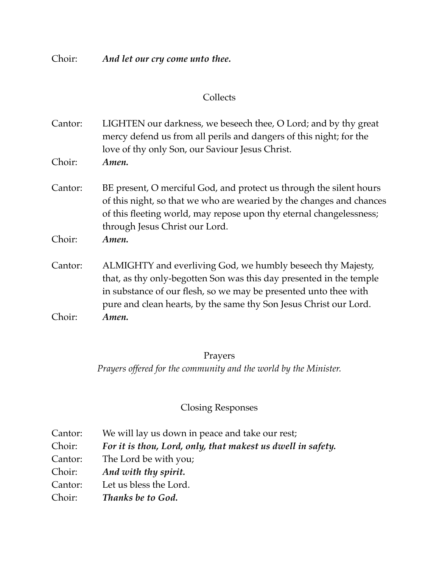Choir: *And let our cry come unto thee.*

# **Collects**

Cantor: LIGHTEN our darkness, we beseech thee, O Lord; and by thy great mercy defend us from all perils and dangers of this night; for the love of thy only Son, our Saviour Jesus Christ.

- Choir: *Amen.*
- Cantor: BE present, O merciful God, and protect us through the silent hours of this night, so that we who are wearied by the changes and chances of this fleeting world, may repose upon thy eternal changelessness; through Jesus Christ our Lord.
- Choir: *Amen.*
- Cantor: ALMIGHTY and everliving God, we humbly beseech thy Majesty, that, as thy only-begotten Son was this day presented in the temple in substance of our flesh, so we may be presented unto thee with pure and clean hearts, by the same thy Son Jesus Christ our Lord. Choir: *Amen.*

#### Prayers

*Prayers offered for the community and the world by the Minister.*

#### Closing Responses

| Cantor: | We will lay us down in peace and take our rest;             |
|---------|-------------------------------------------------------------|
| Choir:  | For it is thou, Lord, only, that makest us dwell in safety. |
| Cantor: | The Lord be with you;                                       |
| Choir:  | And with thy spirit.                                        |
| Cantor: | Let us bless the Lord.                                      |
| Choir:  | Thanks be to God.                                           |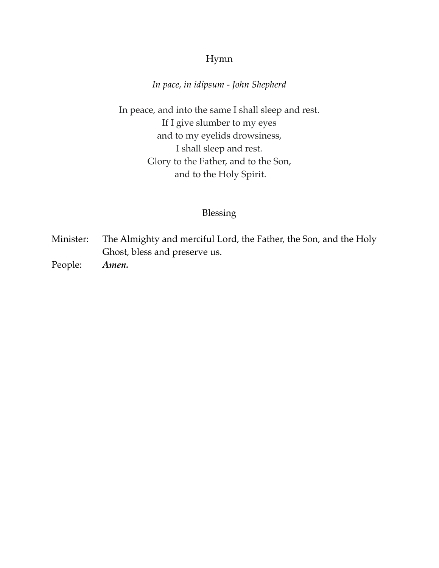# Hymn

# *In pace, in idipsum - John Shepherd*

In peace, and into the same I shall sleep and rest. If I give slumber to my eyes and to my eyelids drowsiness, I shall sleep and rest. Glory to the Father, and to the Son, and to the Holy Spirit.

#### Blessing

- Minister: The Almighty and merciful Lord, the Father, the Son, and the Holy Ghost, bless and preserve us.
- People: *Amen.*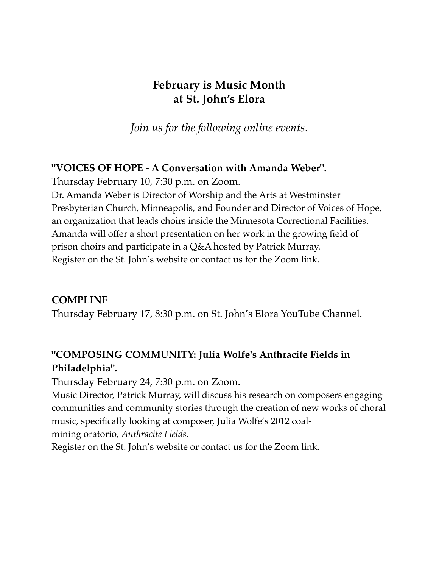# **February is Music Month at St. John's Elora**

*Join us for the following online events.*

# **"VOICES OF HOPE - A Conversation with Amanda Weber".**

Thursday February 10, 7:30 p.m. on Zoom.

Dr. Amanda Weber is Director of Worship and the Arts at Westminster Presbyterian Church, Minneapolis, and Founder and Director of Voices of Hope, an organization that leads choirs inside the Minnesota Correctional Facilities. Amanda will offer a short presentation on her work in the growing field of prison choirs and participate in a Q&A hosted by Patrick Murray. Register on the St. John's website or contact us for the Zoom link.

# **COMPLINE**

Thursday February 17, 8:30 p.m. on St. John's Elora YouTube Channel.

# **"COMPOSING COMMUNITY: Julia Wolfe's Anthracite Fields in Philadelphia".**

Thursday February 24, 7:30 p.m. on Zoom.

Music Director, Patrick Murray, will discuss his research on composers engaging communities and community stories through the creation of new works of choral music, specifically looking at composer, Julia Wolfe's 2012 coalmining oratorio, *Anthracite Fields.*

Register on the St. John's website or contact us for the Zoom link.